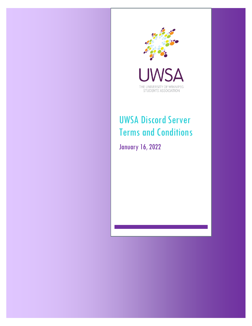

THE UNIVERSITY OF WINNIPEG<br>STUDENTS' ASSOCIATION

# UWSA Discord Server Terms and Conditions

January 16, 2022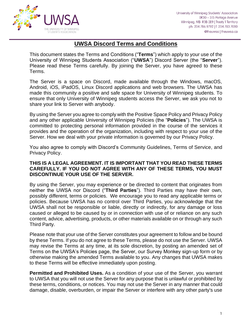

## **UWSA Discord Terms and Conditions**

This document states the Terms and Conditions ("**Terms**") which apply to your use of the University of Winnipeg Students Association ("**UWSA**") Discord Server (the "**Server**"). Please read these Terms carefully. By joining the Server, you have agreed to these Terms.

The Server is a space on Discord, made available through the Windows, macOS, Android, iOS, iPadOS, Linux Discord applications and web browsers. The UWSA has made this community a positive and safe space for University of Winnipeg students. To ensure that only University of Winnipeg students access the Server, we ask you not to share your link to Server with anybody.

By using the Server you agree to comply with the Positive Space Policy and Privacy Policy and any other applicable University of Winnipeg Policies (the "**Policies**"). The UWSA is committed to protecting personal information provided in the course of the services it provides and the operation of the organization, including with respect to your use of the Server. How we deal with your private information is governed by our Privacy Policy.

You also agree to comply with Discord's Community Guidelines, Terms of Service, and Privacy Policy.

#### **THIS IS A LEGAL AGREEMENT. IT IS IMPORTANT THAT YOU READ THESE TERMS CAREFULLY. IF YOU DO NOT AGREE WITH ANY OF THESE TERMS, YOU MUST DISCONTINUE YOUR USE OF THE SERVER.**

By using the Server, you may experience or be directed to content that originates from neither the UWSA nor Discord ("**Third Parties**"). Third Parties may have their own, possibly different, terms or policies. We encourage you to read any applicable terms or policies. Because UWSA has no control over Third Parties, you acknowledge that the UWSA shall not be responsible or liable, directly or indirectly, for any damage or loss caused or alleged to be caused by or in connection with use of or reliance on any such content, advice, advertising, products, or other materials available on or through any such Third Party.

Please note that your use of the Server constitutes your agreement to follow and be bound by these Terms. If you do not agree to these Terms, please do not use the Server. UWSA may revise the Terms at any time, at its sole discretion, by posting an amended set of Terms on the UWSA's Policies page, the Server, our Survey Monkey sign-up form or by otherwise making the amended Terms available to you. Any changes that UWSA makes to these Terms will be effective immediately upon posting.

**Permitted and Prohibited Uses.** As a condition of your use of the Server, you warrant to UWSA that you will not use the Server for any purpose that is unlawful or prohibited by these terms, conditions, or notices. You may not use the Server in any manner that could damage, disable, overburden, or impair the Server or interfere with any other party's use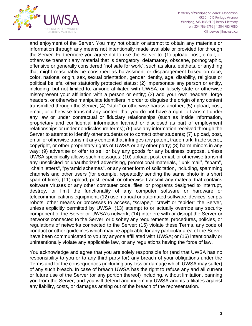

University of Winnipeg Students' Association 0R30 - 515 Portage Avenue Winnipeg, MB R3B 2E9 | Treaty 1 Territory ph: 204.786.9792 | f. 204.783.7080 @theuwsa | theuwsa.ca

and enjoyment of the Server. You may not obtain or attempt to obtain any materials or information through any means not intentionally made available or provided for through the Server. Furthermore you agree not to use the Server to: (1) upload, post, email, or otherwise transmit any material that is derogatory, defamatory, obscene, pornographic, offensive or generally considered "not safe for work", such as slurs, epithets, or anything that might reasonably be construed as harassment or disparagement based on race, color, national origin, sex, sexual orientation, gender identity, age, disability, religious or political beliefs, other statutorily protected status; (2) impersonate any person or entity, including, but not limited to, anyone affiliated with UWSA, or falsely state or otherwise misrepresent your affiliation with a person or entity; (3) add your own headers, forge headers, or otherwise manipulate identifiers in order to disguise the origin of any content transmitted through the Server; (4) "stalk" or otherwise harass another; (5) upload, post, email, or otherwise transmit any content that you do not have a right to transmit under any law or under contractual or fiduciary relationships (such as inside information, proprietary and confidential information learned or disclosed as part of employment relationships or under nondisclosure terms); (6) use any information received through the Server to attempt to identify other students or to contact other students; (7) upload, post, email or otherwise transmit any content that infringes any patent, trademark, trade secret, copyright, or other proprietary rights of UWSA or any other party; (8) harm minors in any way; (9) advertise or offer to sell or buy any goods for any business purpose, unless UWSA specifically allows such messages; (10) upload, post, email, or otherwise transmit any unsolicited or unauthorized advertising, promotional materials, "junk mail", "spam", "chain letters", "pyramid schemes", or any other form of solicitation, including, spamming channels and other users (for example, repeatedly sending the same photo in a short span of time); (11) upload, post, email, or otherwise transmit any material that contains software viruses or any other computer code, files, or programs designed to interrupt, destroy, or limit the functionality of any computer software or hardware or telecommunications equipment; (12) use manual or automated software, devices, scripts robots, other means or processes to access, "scrape," "crawl" or "spider" the Server, unless explicitly permitted by UWSA; (13) attempt to or actually override any security component of the Server or UWSA's network; (14) interfere with or disrupt the Server or networks connected to the Server, or disobey any requirements, procedures, policies, or regulations of networks connected to the Server; (15) violate these Terms, any code of conduct or other guidelines which may be applicable for any particular area of the Server have been communicated to you by anyone affiliated with UWSA; or (16) intentionally or unintentionally violate any applicable law, or any regulations having the force of law.

You acknowledge and agree that you are solely responsible for (and that UWSA has no responsibility to you or to any third party for) any breach of your obligations under the Terms and for the consequences (including any loss or damage which UWSA may suffer) of any such breach. In case of breach UWSA has the right to refuse any and all current or future use of the Server (or any portion thereof) including, without limitation, banning you from the Server, and you will defend and indemnify UWSA and its affiliates against any liability, costs, or damages arising out of the breach of the representation.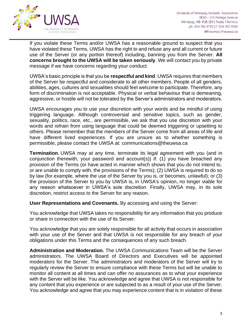

If you violate these Terms and/or UWSA has a reasonable ground to suspect that you have violated these Terms, UWSA has the right to and refuse any and all current or future use of the Server (or any portion thereof) including, banning you from the Server. **All concerns brought to the UWSA will be taken seriously**. We will contact you by private message if we have concerns regarding your conduct.

UWSA's basic principle is that you be **respectful and kind**. UWSA requires that members of the Server be respectful and considerate to all other members. People of all genders, abilities, ages, cultures and sexualities should feel welcome to participate. Therefore, any form of discrimination is not acceptable. Physical or verbal behaviour that is demeaning, aggressive, or hostile will not be tolerated by the Server's administrators and moderators.

UWSA encourages you to use your discretion with your words and be mindful of using triggering language. Although controversial and sensitive topics, such as gender, sexuality, politics, race, etc., are permissible, we ask that you use discretion with your words and refrain from using language that could be deemed triggering or upsetting to others. Please remember that the members of the Server come from all areas of life and have different lived experiences. If you are unsure as to whether something is permissible, please contact the UWSA at: communications@theuwsa.ca

**Termination.** UWSA may at any time, terminate its legal agreement with you (and in conjunction therewith, your password and account(s)) if: (1) you have breached any provision of the Terms (or have acted in manner which shows that you do not intend to, or are unable to comply with, the provisions of the Terms); (2) UWSA is required to do so by law (for example, where the use of the Server by you is, or becomes, unlawful); or (3) the provision of the Server to you by UWSA is, in UWSA's opinion, no longer viable for any reason whatsoever in UWSA's sole discretion. Finally, UWSA may, in its sole discretion, restrict access to the Server for any reason.

### **User Representations and Covenants.** By accessing and using the Server:

You acknowledge that UWSA takes no responsibility for any information that you produce or share in connection with the use of its Server.

You acknowledge that you are solely responsible for all activity that occurs in association with your use of the Server and that UWSA is not responsible for any breach of your obligations under this Terms and the consequences of any such breach.

**Administration and Moderation.** The UWSA Communications Team will be the Server administrators. The UWSA Board of Directors and Executives will be appointed moderators for the Server. The administrators and moderators of the Server will try to regularly review the Server to ensure compliance with these Terms but will be unable to monitor all content at all times and can offer no assurances as to what your experience with the Server will be like. You acknowledge and agree that UWSA is not responsible for any content that you experience or are subjected to as a result of your use of the Server. You acknowledge and agree that you may experience content that is in violation of these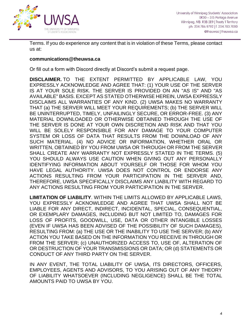

Terms. If you do experience any content that is in violation of these Terms, please contact us at:

#### **communications@theuwsa.ca**

Or fill out a form with Discord directly at Discord's submit a request page.

**DISCLAIMER.** TO THE EXTENT PERMITTED BY APPLICABLE LAW, YOU EXPRESSLY ACKNOWLEDGE AND AGREE THAT: (1) YOUR USE OF THE SERVER IS AT YOUR SOLE RISK. THE SERVER IS PROVIDED ON AN "AS IS" AND "AS AVAILABLE" BASIS. EXCEPT AS STATED OTHERWISE HEREIN, UWSA EXPRESSLY DISCLAIMS ALL WARRANTIES OF ANY KIND. (2) UWSA MAKES NO WARRANTY THAT (a) THE SERVER WILL MEET YOUR REQUIREMENTS; (b) THE SERVER WILL BE UNINTERRUPTED, TIMELY, UNFAILINGLY SECURE, OR ERROR-FREE. (3) ANY MATERIAL DOWNLOADED OR OTHERWISE OBTAINED THROUGH THE USE OF THE SERVER IS DONE AT YOUR OWN DISCRETION AND RISK AND THAT YOU WILL BE SOLELY RESPONSIBLE FOR ANY DAMAGE TO YOUR COMPUTER SYSTEM OR LOSS OF DATA THAT RESULTS FROM THE DOWNLOAD OF ANY SUCH MATERIAL. (4) NO ADVICE OR INFORMATION, WHETHER ORAL OR WRITTEN, OBTAINED BY YOU FROM UWSA OR THROUGH OR FROM THE SERVER SHALL CREATE ANY WARRANTY NOT EXPRESSLY STATED IN THE TERMS. (5) YOU SHOULD ALWAYS USE CAUTION WHEN GIVING OUT ANY PERSONALLY IDENTIFYING INFORMATION ABOUT YOURSELF OR THOSE FOR WHOM YOU HAVE LEGAL AUTHORITY. UWSA DOES NOT CONTROL OR ENDORSE ANY ACTIONS RESULTING FROM YOUR PARTICIPATION IN THE SERVER AND, THEREFORE, UWSA SPECIFICALLY DISCLAIMS ANY LIABILITY WITH REGARD TO ANY ACTIONS RESULTING FROM YOUR PARTICIPATION IN THE SERVER.

**LIMITATION OF LIABILITY**. WITHIN THE LIMITS ALLOWED BY APPLICABLE LAWS, YOU EXPRESSLY ACKNOWLEDGE AND AGREE THAT UWSA SHALL NOT BE LIABLE FOR ANY DIRECT, INDIRECT, INCIDENTAL, SPECIAL, CONSEQUENTIAL, OR EXEMPLARY DAMAGES, INCLUDING BUT NOT LIMITED TO, DAMAGES FOR LOSS OF PROFITS, GOODWILL, USE, DATA OR OTHER INTANGIBLE LOSSES (EVEN IF UWSA HAS BEEN ADVISED OF THE POSSIBILITY OF SUCH DAMAGES), RESULTING FROM: (a) THE USE OR THE INABILITY TO USE THE SERVER; (b) ANY ACTION YOU TAKE BASED ON THE INFORMATION YOU RECEIVE IN THROUGH OR FROM THE SERVER; (c) UNAUTHORIZED ACCESS TO, USE OF, ALTERATION OF OR DESTRUCTION OF YOUR TRANSMISSIONS OR DATA; OR (d) STATEMENTS OR CONDUCT OF ANY THIRD PARTY ON THE SERVER.

IN ANY EVENT, THE TOTAL LIABILITY OF UWSA, ITS DIRECTORS, OFFICERS, EMPLOYEES, AGENTS AND ADVISORS, TO YOU ARISING OUT OF ANY THEORY OF LIABILITY WHATSOEVER (INCLUDING NEGLIGENCE) SHALL BE THE TOTAL AMOUNTS PAID TO UWSA BY YOU.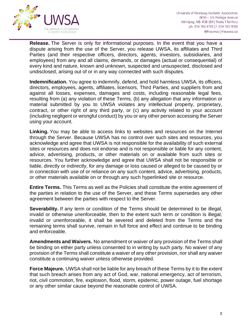

**Release.** The Server is only for informational purposes. In the event that you have a dispute arising from the use of the Server, you release UWSA, its affiliates and Third Parties (and their respective officers, directors, agents, investors, subsidiaries, and employees) from any and all claims, demands, or damages (actual or consequential) of every kind and nature, known and unknown, suspected and unsuspected, disclosed and undisclosed, arising out of or in any way connected with such disputes.

**Indemnification.** You agree to indemnify, defend, and hold harmless UWSA, its officers, directors, employees, agents, affiliates, licensors, Third Parties, and suppliers from and against all losses, expenses, damages and costs, including reasonable legal fees, resulting from (a) any violation of these Terms, (b) any allegation that any information or material submitted by you to UWSA violates any intellectual property, proprietary, contract, or other right of any third party, or (c) any activity related to your account (including negligent or wrongful conduct) by you or any other person accessing the Server using your account.

**Linking.** You may be able to access links to websites and resources on the Internet through the Server. Because UWSA has no control over such sites and resources, you acknowledge and agree that UWSA is not responsible for the availability of such external sites or resources and does not endorse and is not responsible or liable for any content, advice, advertising, products, or other materials on or available from such sites or resources. You further acknowledge and agree that UWSA shall not be responsible or liable, directly or indirectly, for any damage or loss caused or alleged to be caused by or in connection with use of or reliance on any such content, advice, advertising, products, or other materials available on or through any such hyperlinked site or resource.

**Entire Terms.** This Terms as well as the Policies shall constitute the entire agreement of the parties in relation to the use of the Server, and these Terms supersedes any other agreement between the parties with respect to the Server.

**Severability.** If any term or condition of the Terms should be determined to be illegal, invalid or otherwise unenforceable, then to the extent such term or condition is illegal, invalid or unenforceable, it shall be severed and deleted from the Terms and the remaining terms shall survive, remain in full force and effect and continue to be binding and enforceable.

**Amendments and Waivers.** No amendment or waiver of any provision of the Terms shall be binding on either party unless consented to in writing by such party. No waiver of any provision of the Terms shall constitute a waiver of any other provision, nor shall any waiver constitute a continuing waiver unless otherwise provided.

**Force Majeure.** UWSA shall not be liable for any breach of these Terms by it to the extent that such breach arises from any act of God, war, national emergency, act of terrorism, riot, civil commotion, fire, explosion, flood, storm, epidemic, power outage, fuel shortage or any other similar cause beyond the reasonable control of UWSA.